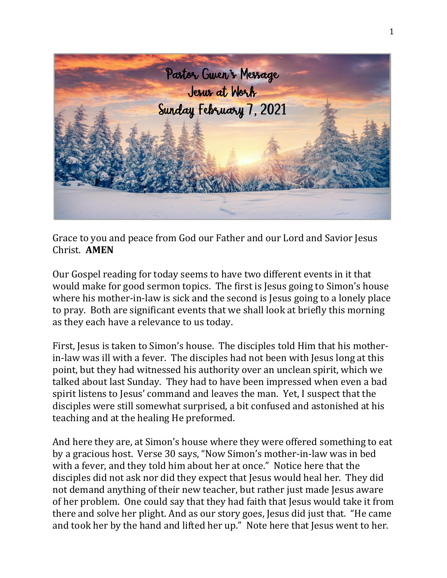

Grace to you and peace from God our Father and our Lord and Savior Jesus Christ. **AMEN**

Our Gospel reading for today seems to have two different events in it that would make for good sermon topics. The first is Jesus going to Simon's house where his mother-in-law is sick and the second is Jesus going to a lonely place to pray. Both are significant events that we shall look at briefly this morning as they each have a relevance to us today.

First, Jesus is taken to Simon's house. The disciples told Him that his motherin-law was ill with a fever. The disciples had not been with Jesus long at this point, but they had witnessed his authority over an unclean spirit, which we talked about last Sunday. They had to have been impressed when even a bad spirit listens to Jesus' command and leaves the man. Yet, I suspect that the disciples were still somewhat surprised, a bit confused and astonished at his teaching and at the healing He preformed.

And here they are, at Simon's house where they were offered something to eat by a gracious host. Verse 30 says, "Now Simon's mother-in-law was in bed with a fever, and they told him about her at once." Notice here that the disciples did not ask nor did they expect that Jesus would heal her. They did not demand anything of their new teacher, but rather just made Jesus aware of her problem. One could say that they had faith that Jesus would take it from there and solve her plight. And as our story goes, Jesus did just that. "He came and took her by the hand and lifted her up." Note here that Jesus went to her.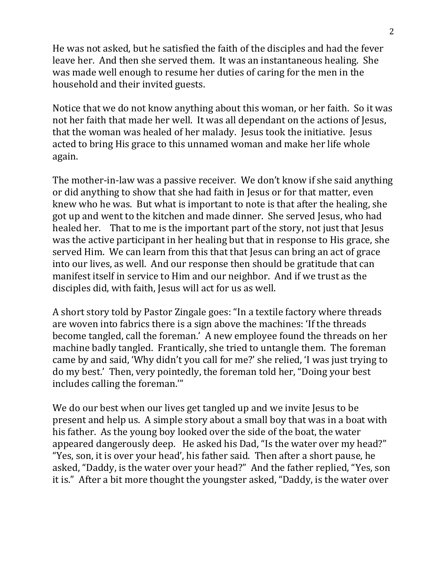He was not asked, but he satisfied the faith of the disciples and had the fever leave her. And then she served them. It was an instantaneous healing. She was made well enough to resume her duties of caring for the men in the household and their invited guests.

Notice that we do not know anything about this woman, or her faith. So it was not her faith that made her well. It was all dependant on the actions of Jesus, that the woman was healed of her malady. Jesus took the initiative. Jesus acted to bring His grace to this unnamed woman and make her life whole again.

The mother-in-law was a passive receiver. We don't know if she said anything or did anything to show that she had faith in Jesus or for that matter, even knew who he was. But what is important to note is that after the healing, she got up and went to the kitchen and made dinner. She served Jesus, who had healed her. That to me is the important part of the story, not just that Jesus was the active participant in her healing but that in response to His grace, she served Him. We can learn from this that that Jesus can bring an act of grace into our lives, as well. And our response then should be gratitude that can manifest itself in service to Him and our neighbor. And if we trust as the disciples did, with faith, Jesus will act for us as well.

A short story told by Pastor Zingale goes: "In a textile factory where threads are woven into fabrics there is a sign above the machines: 'If the threads become tangled, call the foreman.' A new employee found the threads on her machine badly tangled. Frantically, she tried to untangle them. The foreman came by and said, 'Why didn't you call for me?' she relied, 'I was just trying to do my best.' Then, very pointedly, the foreman told her, "Doing your best includes calling the foreman.'"

We do our best when our lives get tangled up and we invite Jesus to be present and help us. A simple story about a small boy that was in a boat with his father. As the young boy looked over the side of the boat, the water appeared dangerously deep. He asked his Dad, "Is the water over my head?" "Yes, son, it is over your head', his father said. Then after a short pause, he asked, "Daddy, is the water over your head?" And the father replied, "Yes, son it is." After a bit more thought the youngster asked, "Daddy, is the water over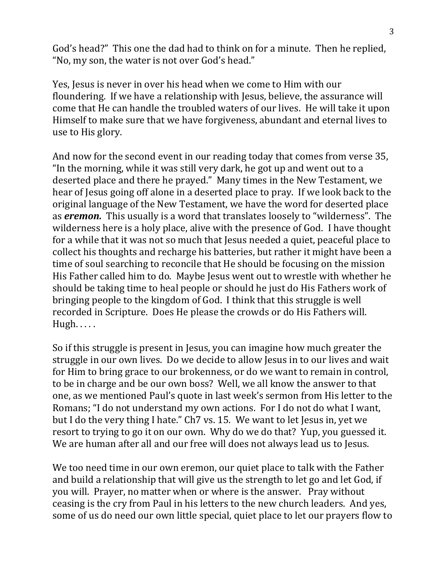God's head?" This one the dad had to think on for a minute. Then he replied, "No, my son, the water is not over God's head."

Yes, Jesus is never in over his head when we come to Him with our floundering. If we have a relationship with Jesus, believe, the assurance will come that He can handle the troubled waters of our lives. He will take it upon Himself to make sure that we have forgiveness, abundant and eternal lives to use to His glory.

And now for the second event in our reading today that comes from verse 35, "In the morning, while it was still very dark, he got up and went out to a deserted place and there he prayed." Many times in the New Testament, we hear of Jesus going off alone in a deserted place to pray. If we look back to the original language of the New Testament, we have the word for deserted place as *eremon.* This usually is a word that translates loosely to "wilderness". The wilderness here is a holy place, alive with the presence of God. I have thought for a while that it was not so much that Jesus needed a quiet, peaceful place to collect his thoughts and recharge his batteries, but rather it might have been a time of soul searching to reconcile that He should be focusing on the mission His Father called him to do. Maybe Jesus went out to wrestle with whether he should be taking time to heal people or should he just do His Fathers work of bringing people to the kingdom of God. I think that this struggle is well recorded in Scripture. Does He please the crowds or do His Fathers will. Hugh. . . . .

So if this struggle is present in Jesus, you can imagine how much greater the struggle in our own lives. Do we decide to allow Jesus in to our lives and wait for Him to bring grace to our brokenness, or do we want to remain in control, to be in charge and be our own boss? Well, we all know the answer to that one, as we mentioned Paul's quote in last week's sermon from His letter to the Romans; "I do not understand my own actions. For I do not do what I want, but I do the very thing I hate." Ch7 vs. 15. We want to let Jesus in, yet we resort to trying to go it on our own. Why do we do that? Yup, you guessed it. We are human after all and our free will does not always lead us to Jesus.

We too need time in our own eremon, our quiet place to talk with the Father and build a relationship that will give us the strength to let go and let God, if you will. Prayer, no matter when or where is the answer. Pray without ceasing is the cry from Paul in his letters to the new church leaders. And yes, some of us do need our own little special, quiet place to let our prayers flow to